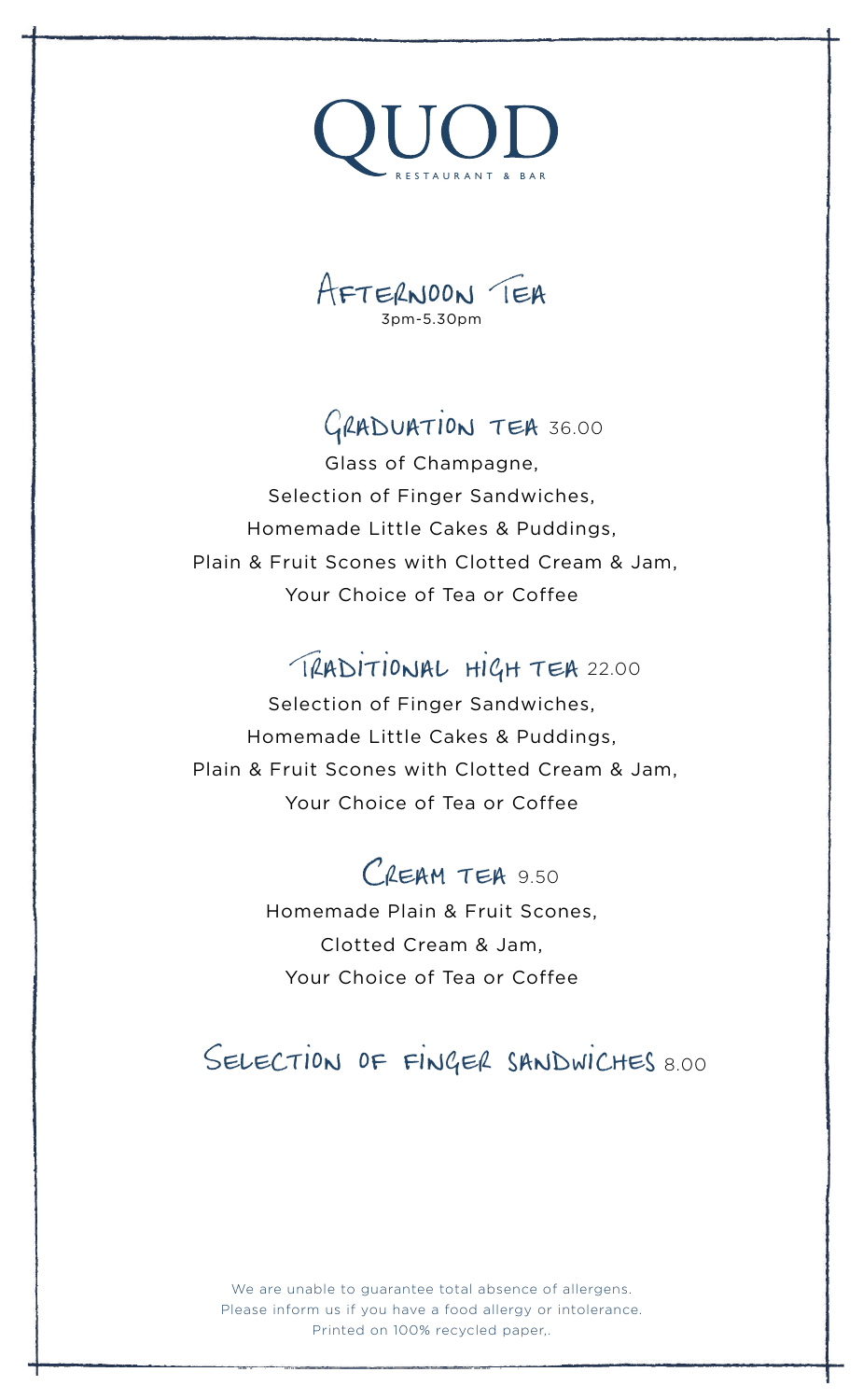



# GRADUATION TEA 36.00

Glass of Champagne, Selection of Finger Sandwiches, Homemade Little Cakes & Puddings, Plain & Fruit Scones with Clotted Cream & Jam, Your Choice of Tea or Coffee

# TRADITIONAL HIGH TEA 22.00

Selection of Finger Sandwiches, Homemade Little Cakes & Puddings, Plain & Fruit Scones with Clotted Cream & Jam, Your Choice of Tea or Coffee

# $C$ REAM TEA 9.50

Homemade Plain & Fruit Scones, Clotted Cream & Jam, Your Choice of Tea or Coffee

## Selection of finger sandwiches 8.00

We are unable to guarantee total absence of allergens. Please inform us if you have a food allergy or intolerance. Printed on 100% recycled paper,.